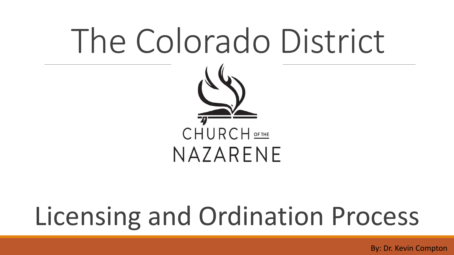## The Colorado District



## Licensing and Ordination Process

By: Dr. Kevin Compton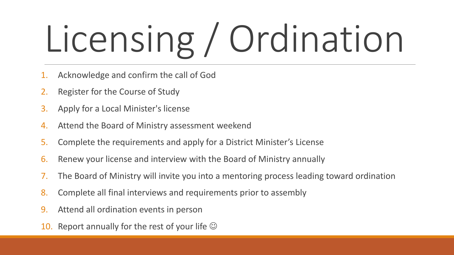# Licensing / Ordination

- Acknowledge and confirm the call of God
- 2. Register for the Course of Study
- 3. Apply for a Local Minister's license
- 4. Attend the Board of Ministry assessment weekend
- 5. Complete the requirements and apply for a District Minister's License
- 6. Renew your license and interview with the Board of Ministry annually
- 7. The Board of Ministry will invite you into a mentoring process leading toward ordination
- 8. Complete all final interviews and requirements prior to assembly
- 9. Attend all ordination events in person
- 10. Report annually for the rest of your life  $\odot$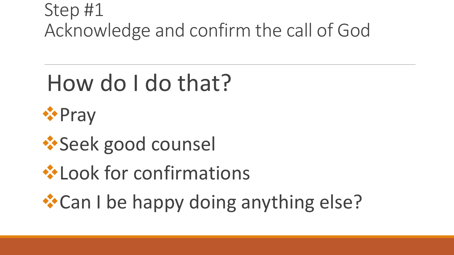#### Step #1 Acknowledge and confirm the call of God

## How do I do that?



- ❖Seek good counsel
- ❖Look for confirmations
- ❖Can I be happy doing anything else?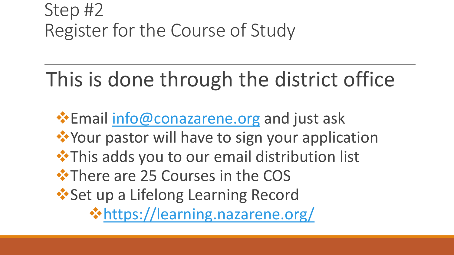#### Step #2 Register for the Course of Study

### This is done through the district office

 • Email [info@conazarene.org](mailto:info@conazarene.org) and just ask ❖Your pastor will have to sign your application ❖This adds you to our email distribution list ❖There are 25 Courses in the COS ❖Set up a Lifelong Learning Record ❖<https://learning.nazarene.org/>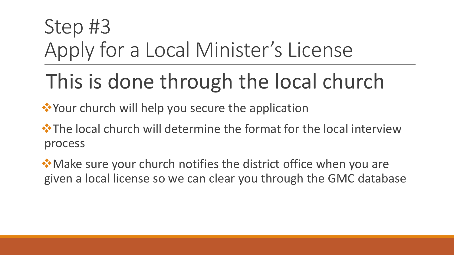## Step #3 Apply for a Local Minister's License

## This is done through the local church

❖Your church will help you secure the application

**☆The local church will determine the format for the local interview** process

❖Make sure your church notifies the district office when you are given a local license so we can clear you through the GMC database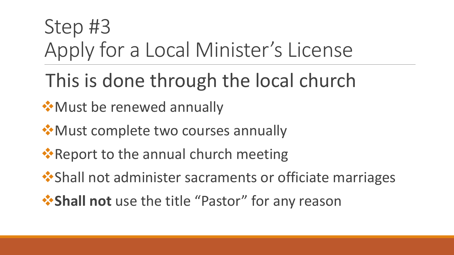## Step #3 Apply for a Local Minister's License

- This is done through the local church
- **❖ Must be renewed annually**
- ❖Must complete two courses annually
- **•** Report to the annual church meeting
- Shall not administer sacraments or officiate marriages
- ❖**Shall not** use the title "Pastor" for any reason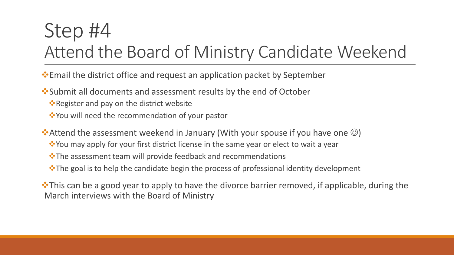#### Step #4 Attend the Board of Ministry Candidate Weekend

❖Email the district office and request an application packet by September

❖Submit all documents and assessment results by the end of October

- ❖Register and pay on the district website
- ❖You will need the recommendation of your pastor

◆ Attend the assessment weekend in January (With your spouse if you have one  $\odot$ )

- ❖You may apply for your first district license in the same year or elect to wait a year
- ❖The assessment team will provide feedback and recommendations
- ❖The goal is to help the candidate begin the process of professional identity development

❖This can be a good year to apply to have the divorce barrier removed, if applicable, during the March interviews with the Board of Ministry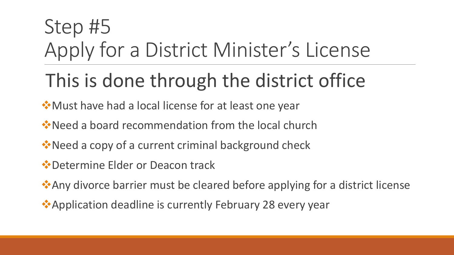## Step #5 Apply for a District Minister's License

#### This is done through the district office

- ❖Must have had a local license for at least one year
- ❖Need a board recommendation from the local church
- **E**Need a copy of a current criminal background check
- ❖Determine Elder or Deacon track
- ❖Any divorce barrier must be cleared before applying for a district license
- Application deadline is currently February 28 every year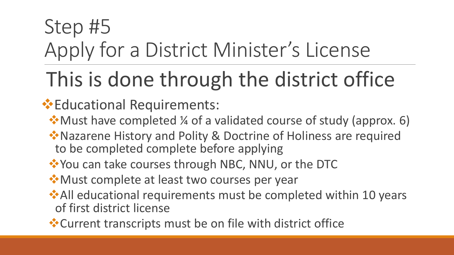## Step #5 Apply for a District Minister's License

## This is done through the district office

#### ❖Educational Requirements:

- ❖Must have completed ¼ of a validated course of study (approx. 6)
- ❖Nazarene History and Polity & Doctrine of Holiness are required to be completed complete before applying
- ❖You can take courses through NBC, NNU, or the DTC
- ★ Must complete at least two courses per year
- ★All educational requirements must be completed within 10 years of first district license
- ❖Current transcripts must be on file with district office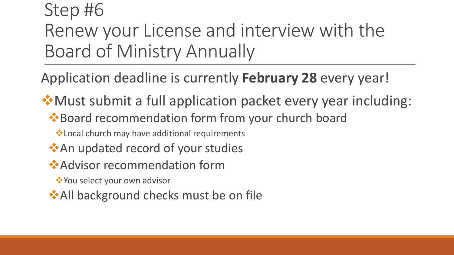#### Step #6 Renew your License and interview with the Board of Ministry Annually

Application deadline is currently **February 28** every year!

❖Must submit a full application packet every year including: ❖Board recommendation form from your church board

❖Local church may have additional requirements

- ★ An updated record of your studies
- ❖Advisor recommendation form

❖You select your own advisor

★All background checks must be on file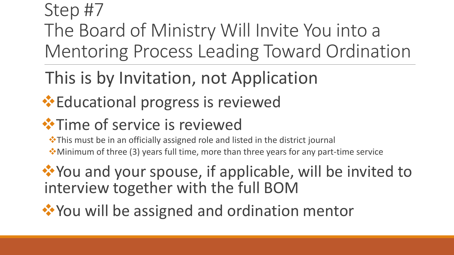#### Step #7 The Board of Ministry Will Invite You into a Mentoring Process Leading Toward Ordination

This is by Invitation, not Application

#### ❖Educational progress is reviewed

#### **❖ Time of service is reviewed**

❖This must be in an officially assigned role and listed in the district journal

❖Minimum of three (3) years full time, more than three years for any part-time service

❖You and your spouse, if applicable, will be invited to interview together with the full BOM

❖You will be assigned and ordination mentor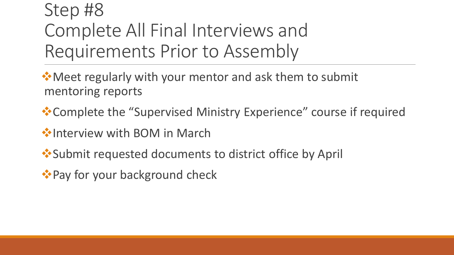#### Step #8 Complete All Final Interviews and Requirements Prior to Assembly

 ★Meet regularly with your mentor and ask them to submit mentoring reports

❖Complete the "Supervised Ministry Experience" course if required

❖Interview with BOM in March

❖Submit requested documents to district office by April

<sup>◆</sup> Pay for your background check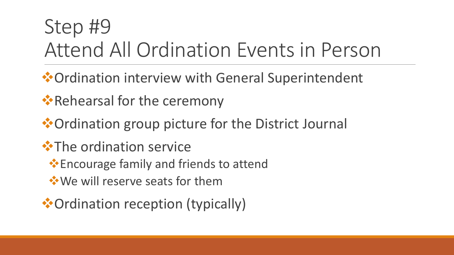## Step #9 Attend All Ordination Events in Person

- ❖Ordination interview with General Superintendent
- ❖Rehearsal for the ceremony
- ❖Ordination group picture for the District Journal
- **<sup>❖</sup>The ordination service** 
	- ❖Encourage family and friends to attend
	- ❖We will reserve seats for them
- ❖Ordination reception (typically)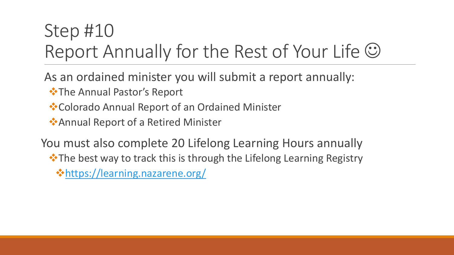#### Step #10 Report Annually for the Rest of Your Life  $\odot$

As an ordained minister you will submit a report annually:

- ❖The Annual Pastor's Report
- ❖Colorado Annual Report of an Ordained Minister

❖Annual Report of a Retired Minister

You must also complete 20 Lifelong Learning Hours annually

❖The best way to track this is through the Lifelong Learning Registry

❖<https://learning.nazarene.org/>